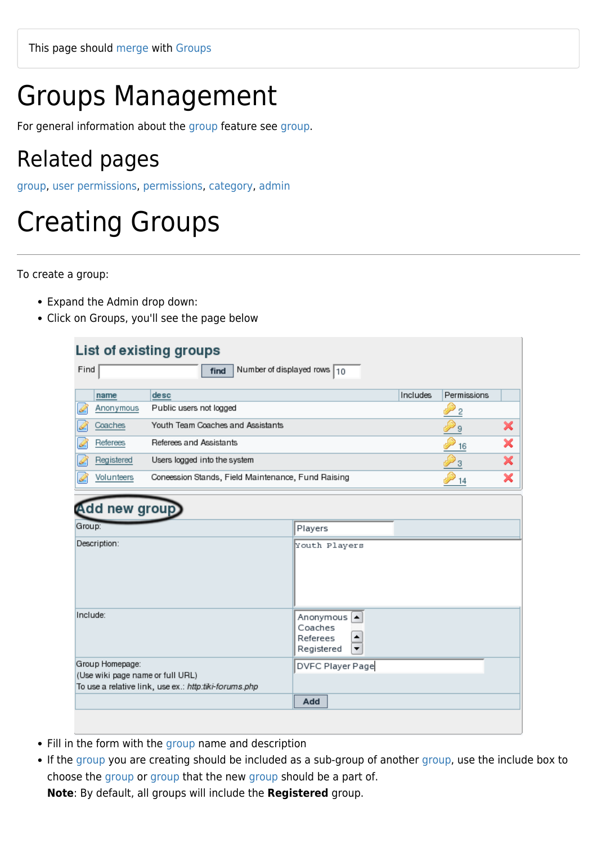# Groups Management

For general information about the [group](https://doc.tiki.org/group) feature see [group.](https://doc.tiki.org/group)

## Related pages

[group](https://doc.tiki.org/group), [user permissions](https://doc.tiki.org/user-permissions), [permissions](https://doc.tiki.org/Permissions), [category](https://doc.tiki.org/Category), [admin](https://doc.tiki.org/admin)

# Creating Groups

To create a group:

- Expand the Admin drop down:
- Click on Groups, you'll see the page below

| List of existing groups<br>Find<br>Number of displayed rows 10<br>find |                                                       |                                                                              |          |                |   |
|------------------------------------------------------------------------|-------------------------------------------------------|------------------------------------------------------------------------------|----------|----------------|---|
| name                                                                   | desc                                                  |                                                                              | Includes | Permissions    |   |
| Q<br>Anonymous                                                         | Public users not logged                               |                                                                              |          | $\overline{2}$ |   |
| Coaches                                                                | Youth Team Coaches and Assistants                     |                                                                              |          | 9              | × |
| Referees<br>Ò                                                          | Referees and Assistants                               |                                                                              |          | 16             | × |
| Registered                                                             | Users logged into the system                          |                                                                              |          | 3              | × |
| Volunteers                                                             | Coneession Stands, Field Maintenance, Fund Raising    |                                                                              |          | 14             | × |
| Add new group<br>Group:<br>Description:                                |                                                       | Players<br>Youth Players                                                     |          |                |   |
| Include:                                                               |                                                       | Anonymous<br>$\blacktriangle$<br>Coaches<br>٠<br>Referees<br>۰<br>Registered |          |                |   |
| Group Homepage:<br>(Use wiki page name or full URL)                    | To use a relative link, use ex.: http:tiki-forums.php | DVFC Player Page                                                             |          |                |   |
|                                                                        |                                                       | Add                                                                          |          |                |   |

- Fill in the form with the [group](https://doc.tiki.org/group) name and description
- If the [group](https://doc.tiki.org/group) you are creating should be included as a sub-group of another [group,](https://doc.tiki.org/group) use the include box to choose the [group](https://doc.tiki.org/group) or [group](https://doc.tiki.org/group) that the new [group](https://doc.tiki.org/group) should be a part of.

**Note**: By default, all groups will include the **Registered** group.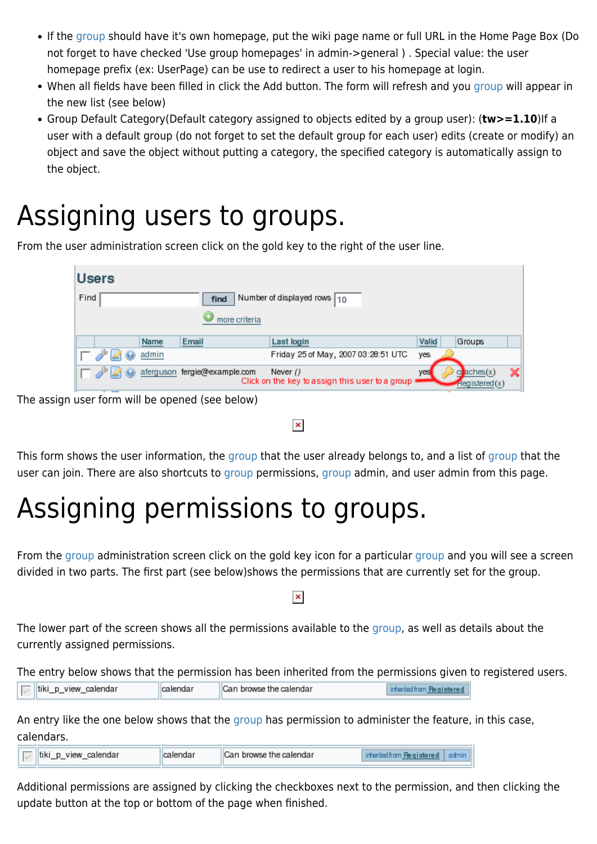- If the [group](https://doc.tiki.org/group) should have it's own homepage, put the wiki page name or full URL in the Home Page Box (Do not forget to have checked 'Use group homepages' in admin->general ) . Special value: the user homepage prefix (ex: UserPage) can be use to redirect a user to his homepage at login.
- When all fields have been filled in click the Add button. The form will refresh and you [group](https://doc.tiki.org/group) will appear in the new list (see below)
- Group Default Category(Default category assigned to objects edited by a group user): (**tw>=1.10**)If a user with a default group (do not forget to set the default group for each user) edits (create or modify) an object and save the object without putting a category, the specified category is automatically assign to the object.

# Assigning users to groups.

From the user administration screen click on the gold key to the right of the user line.

|      | <b>Users</b> |       |                              |                                                               |       |                                       |  |
|------|--------------|-------|------------------------------|---------------------------------------------------------------|-------|---------------------------------------|--|
| Find |              |       | find                         | Number of displayed rows $\boxed{10}$                         |       |                                       |  |
|      |              |       | more criteria                |                                                               |       |                                       |  |
|      |              | Name  | Email                        | Last login                                                    | Valid | Groups                                |  |
|      |              | admin |                              | Friday 25 of May, 2007 03:28:51 UTC                           | yes   |                                       |  |
|      |              |       | aferguson fergie@example.com | Never $()$<br>Click on the key to assign this user to a group | yes   | $\alpha$ aches $(x)$<br>Registered(x) |  |

The assign user form will be opened (see below)

#### $\pmb{\times}$

This form shows the user information, the [group](https://doc.tiki.org/group) that the user already belongs to, and a list of [group](https://doc.tiki.org/group) that the user can join. There are also shortcuts to [group](https://doc.tiki.org/group) permissions, [group](https://doc.tiki.org/group) admin, and user admin from this page.

# Assigning permissions to groups.

From the [group](https://doc.tiki.org/group) administration screen click on the gold key icon for a particular group and you will see a screen divided in two parts. The first part (see below)shows the permissions that are currently set for the group.

#### $\pmb{\times}$

The lower part of the screen shows all the permissions available to the [group](https://doc.tiki.org/group), as well as details about the currently assigned permissions.

The entry below shows that the permission has been inherited from the permissions given to registered users.

|  | calendar<br>, browse the calendar<br>calendar<br>-- |
|--|-----------------------------------------------------|
|--|-----------------------------------------------------|

An entry like the one below shows that the [group](https://doc.tiki.org/group) has permission to administer the feature, in this case, calendars.

| calendar<br>view<br>l tiki<br>$\sim$ | Can browse the calendar. |  |
|--------------------------------------|--------------------------|--|
|                                      |                          |  |

Additional permissions are assigned by clicking the checkboxes next to the permission, and then clicking the update button at the top or bottom of the page when finished.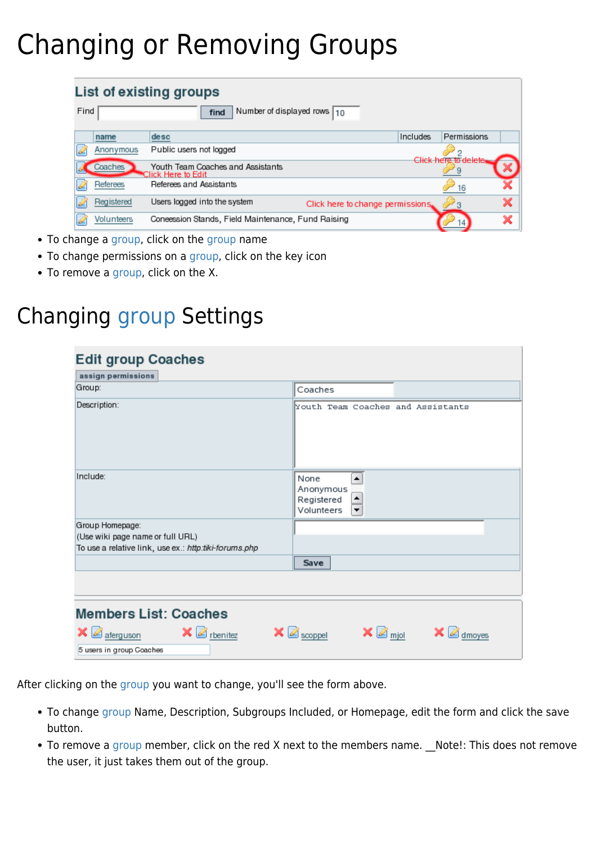# Changing or Removing Groups

| Find |            | List of existing groups<br>Number of displayed rows $10$<br>find  |                      |  |
|------|------------|-------------------------------------------------------------------|----------------------|--|
|      | name       | Includes<br>desc                                                  | Permissions          |  |
|      | Anonymous  | Public users not logged                                           | 2                    |  |
|      | Coaches    | Youth Team Coaches and Assistants<br>Click Here to Edit           | Click here to delete |  |
|      | Referees   | Referees and Assistants                                           | 16                   |  |
|      | Registered | Users logged into the system<br>Click here to change permissions. |                      |  |
|      | Volunteers | Coneession Stands, Field Maintenance, Fund Raising                |                      |  |

- To change a [group](https://doc.tiki.org/group), click on the [group](https://doc.tiki.org/group) name
- To change permissions on a [group](https://doc.tiki.org/group), click on the key icon
- To remove a [group](https://doc.tiki.org/group), click on the X.

## Changing [group](https://doc.tiki.org/group) Settings

| <b>Edit group Coaches</b>                                  |                                                              |  |
|------------------------------------------------------------|--------------------------------------------------------------|--|
| assign permissions                                         |                                                              |  |
| Group:                                                     | Coaches                                                      |  |
| Description:                                               | Youth Team Coaches and Assistants                            |  |
| Include:                                                   | None<br>▲<br>Anonymous<br>Registered<br>٠<br>Volunteers<br>▼ |  |
| Group Homepage:                                            |                                                              |  |
| (Use wiki page name or full URL)                           |                                                              |  |
| To use a relative link, use ex.: http:tiki-forums.php      |                                                              |  |
|                                                            | Save                                                         |  |
| <b>Members List: Coaches</b>                               |                                                              |  |
| $\mathsf{X} \subseteq \mathsf{rbenitez}$<br>×<br>aferguson | $\times$ $\Box$ scoppel<br>$\mathbb{Z}$ mjol<br>dmoyes       |  |
| 5 users in group Coaches                                   |                                                              |  |

After clicking on the [group](https://doc.tiki.org/group) you want to change, you'll see the form above.

- To change [group](https://doc.tiki.org/group) Name, Description, Subgroups Included, or Homepage, edit the form and click the save button.
- To remove a [group](https://doc.tiki.org/group) member, click on the red X next to the members name. Note!: This does not remove the user, it just takes them out of the group.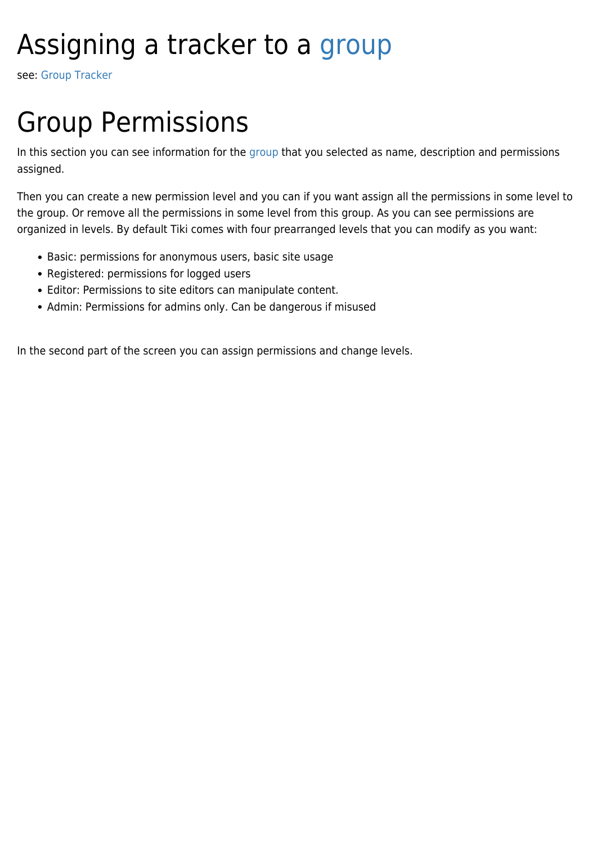# Assigning a tracker to a [group](https://doc.tiki.org/group)

see: [Group Tracker](https://doc.tiki.org/Group-Tracker)

# Group Permissions

In this section you can see information for the [group](https://doc.tiki.org/group) that you selected as name, description and permissions assigned.

Then you can create a new permission level and you can if you want assign all the permissions in some level to the group. Or remove all the permissions in some level from this group. As you can see permissions are organized in levels. By default Tiki comes with four prearranged levels that you can modify as you want:

- Basic: permissions for anonymous users, basic site usage
- Registered: permissions for logged users
- Editor: Permissions to site editors can manipulate content.
- Admin: Permissions for admins only. Can be dangerous if misused

In the second part of the screen you can assign permissions and change levels.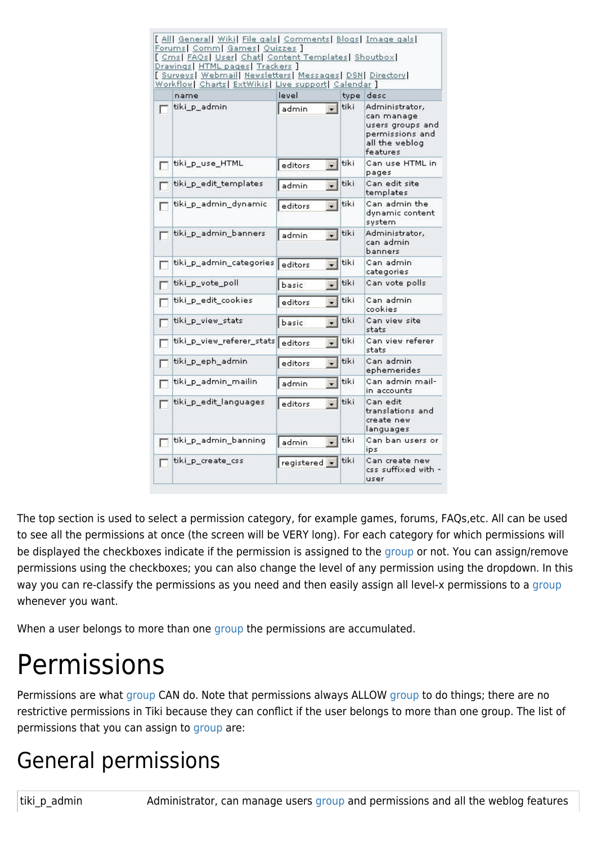|   | Forums   Comm   Games   Quizzes ]<br>[ Cms  FAQs  User  Chat  Content Templates  Shoutbox <br>Drawings  HTML pages  Trackers ]<br>[ Surveys] Webmail Newsletters] Messages   DSN  Directory]<br>Workflow   Charts   ExtWikis   Live support   Calendar ] |              |         |      |                                                                                                   |
|---|----------------------------------------------------------------------------------------------------------------------------------------------------------------------------------------------------------------------------------------------------------|--------------|---------|------|---------------------------------------------------------------------------------------------------|
|   | name                                                                                                                                                                                                                                                     | level        |         |      | type desc                                                                                         |
|   | tiki p admin                                                                                                                                                                                                                                             | admin.       |         | tiki | Administrator,<br>can manage<br>users groups and<br>permissions and<br>all the weblog<br>features |
| г | tiki_p_use_HTML                                                                                                                                                                                                                                          | editors      |         | tiki | Can use HTML in<br>pages                                                                          |
|   | tiki_p_edit_templates                                                                                                                                                                                                                                    | admin        |         | tiki | Can edit site<br>templates                                                                        |
|   | tiki p_admin_dynamic                                                                                                                                                                                                                                     | editors      |         | tiki | Can admin the<br>dynamic content<br>system                                                        |
| Г | tiki_p_admin_banners                                                                                                                                                                                                                                     | admin        |         | tiki | Administrator,<br>can admin<br>banners                                                            |
| Г | tiki p admin categories                                                                                                                                                                                                                                  | editors      | $\star$ | tiki | Can admin<br>categories                                                                           |
|   | tiki_p_vote_poll                                                                                                                                                                                                                                         | basic        |         | tiki | Can vote polls                                                                                    |
|   | tiki_p_edit_cookies                                                                                                                                                                                                                                      | editors      |         | tiki | Can admin<br>cookies                                                                              |
|   | tiki_p_view_stats                                                                                                                                                                                                                                        | basic        |         | tiki | Can view site<br>stats                                                                            |
|   | tiki_p_view_referer_stats                                                                                                                                                                                                                                | editors      |         | tiki | Can view referer<br>stats                                                                         |
| ſ | tiki_p_eph_admin.                                                                                                                                                                                                                                        | editors      |         | tiki | Can admin<br>ephemerides                                                                          |
|   | tiki_p_admin_mailin                                                                                                                                                                                                                                      | admin        |         | tiki | Can admin mail-<br>in accounts                                                                    |
|   | tiki_p_edit_languages                                                                                                                                                                                                                                    | editors      |         | tiki | Can edit<br>translations and<br>create new<br>languages                                           |
|   | tiki_p_admin_banning                                                                                                                                                                                                                                     | admin        |         | tiki | Can ban users or<br>ips.                                                                          |
|   | tiki_p_create_css                                                                                                                                                                                                                                        | registered + |         | tiki | Can create new<br>css suffixed with -<br>user                                                     |

The top section is used to select a permission category, for example games, forums, FAQs,etc. All can be used to see all the permissions at once (the screen will be VERY long). For each category for which permissions will be displayed the checkboxes indicate if the permission is assigned to the [group](https://doc.tiki.org/group) or not. You can assign/remove permissions using the checkboxes; you can also change the level of any permission using the dropdown. In this way you can re-classify the permissions as you need and then easily assign all level-x permissions to a [group](https://doc.tiki.org/group) whenever you want.

When a user belongs to more than one [group](https://doc.tiki.org/group) the permissions are accumulated.

# Permissions

Permissions are what [group](https://doc.tiki.org/group) CAN do. Note that permissions always ALLOW group to do things; there are no restrictive permissions in Tiki because they can conflict if the user belongs to more than one group. The list of permissions that you can assign to [group](https://doc.tiki.org/group) are:

## General permissions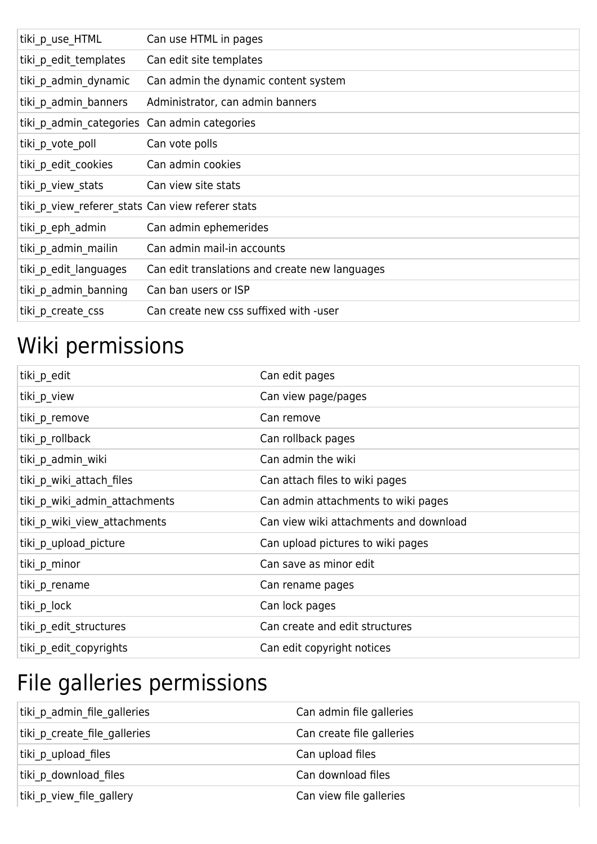| tiki p use HTML                                  | Can use HTML in pages                          |
|--------------------------------------------------|------------------------------------------------|
| tiki_p_edit_templates                            | Can edit site templates                        |
| tiki p admin dynamic                             | Can admin the dynamic content system           |
| tiki p admin banners                             | Administrator, can admin banners               |
| tiki p admin categories Can admin categories     |                                                |
| tiki p vote poll                                 | Can vote polls                                 |
| tiki p_edit_cookies                              | Can admin cookies                              |
| tiki p view stats                                | Can view site stats                            |
| tiki p view referer stats Can view referer stats |                                                |
| tiki p eph admin                                 | Can admin ephemerides                          |
| tiki_p_admin_mailin                              | Can admin mail-in accounts                     |
| tiki p edit languages                            | Can edit translations and create new languages |
| tiki p admin banning                             | Can ban users or ISP                           |
| tiki p create css                                | Can create new css suffixed with -user         |

## Wiki permissions

| tiki_p_edit                   | Can edit pages                         |
|-------------------------------|----------------------------------------|
| tiki p view                   | Can view page/pages                    |
| tiki p remove                 | Can remove                             |
| tiki p rollback               | Can rollback pages                     |
| tiki p admin wiki             | Can admin the wiki                     |
| tiki p wiki attach files      | Can attach files to wiki pages         |
| tiki_p_wiki_admin_attachments | Can admin attachments to wiki pages    |
| tiki p wiki view attachments  | Can view wiki attachments and download |
| tiki p upload picture         | Can upload pictures to wiki pages      |
| tiki p_minor                  | Can save as minor edit                 |
| tiki_p_rename                 | Can rename pages                       |
| tiki p lock                   | Can lock pages                         |
| tiki p edit structures        | Can create and edit structures         |
| tiki p edit copyrights        | Can edit copyright notices             |

## File galleries permissions

| tiki p admin file galleries  | Can admin file galleries  |
|------------------------------|---------------------------|
| tiki p create file galleries | Can create file galleries |
| tiki p upload files          | Can upload files          |
| tiki p download files        | Can download files        |
| tiki p view file gallery     | Can view file galleries   |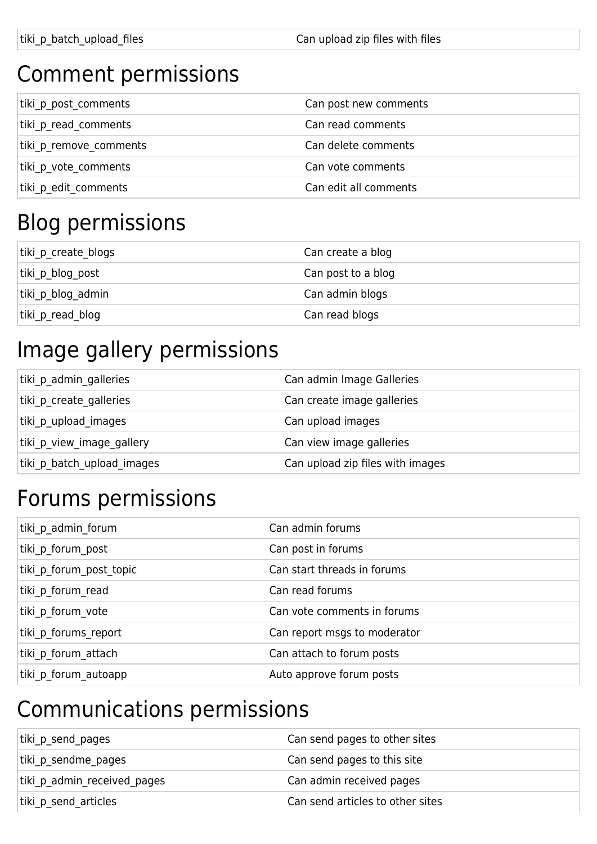## Comment permissions

| tiki p post comments   | Can post new comments |
|------------------------|-----------------------|
| tiki p read comments   | Can read comments     |
| tiki p remove comments | Can delete comments   |
| tiki p vote comments   | Can vote comments     |
| tiki p edit comments   | Can edit all comments |

## Blog permissions

| tiki p create blogs | Can create a blog  |
|---------------------|--------------------|
| tiki p_blog_post    | Can post to a blog |
| tiki p blog admin   | Can admin blogs    |
| tiki p read blog    | Can read blogs     |

## Image gallery permissions

| tiki p admin galleries     | Can admin Image Galleries        |
|----------------------------|----------------------------------|
| tiki p create galleries    | Can create image galleries       |
| tiki p upload images       | Can upload images                |
| tiki p view image gallery  | Can view image galleries         |
| tiki p batch upload images | Can upload zip files with images |
|                            |                                  |

## Forums permissions

| tiki p admin forum      | Can admin forums             |
|-------------------------|------------------------------|
| tiki p forum post       | Can post in forums           |
| tiki p forum post topic | Can start threads in forums  |
| tiki p forum read       | Can read forums              |
| tiki p forum vote       | Can vote comments in forums  |
| tiki p forums report    | Can report msgs to moderator |
| tiki p forum attach     | Can attach to forum posts    |
| tiki p forum autoapp    | Auto approve forum posts     |

## Communications permissions

| tiki p send pages           | Can send pages to other sites    |
|-----------------------------|----------------------------------|
| tiki p sendme pages         | Can send pages to this site      |
| tiki p admin received pages | Can admin received pages         |
| tiki_p_send_articles        | Can send articles to other sites |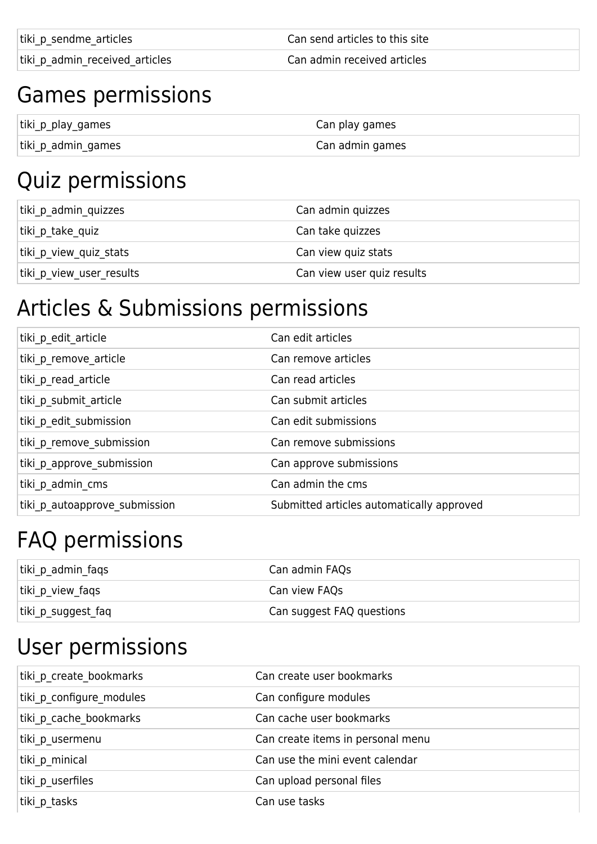tiki p sendme articles can send articles to this site

tiki\_p\_admin\_received\_articles extending the Can admin received articles

#### Games permissions

| tiki_p_play_games  | Can play games  |
|--------------------|-----------------|
| tiki_p_admin_games | Can admin games |

## Quiz permissions

| tiki p admin quizzes     | Can admin quizzes          |
|--------------------------|----------------------------|
| tiki p take quiz         | Can take quizzes           |
| tiki p view quiz stats   | Can view quiz stats        |
| tiki_p_view_user_results | Can view user quiz results |

#### Articles & Submissions permissions

| tiki p edit article           | Can edit articles                         |
|-------------------------------|-------------------------------------------|
| tiki p remove article         | Can remove articles                       |
| tiki p read article           | Can read articles                         |
| tiki p submit article         | Can submit articles                       |
| tiki p edit submission        | Can edit submissions                      |
| tiki p remove submission      | Can remove submissions                    |
| tiki p approve submission     | Can approve submissions                   |
| tiki p admin cms              | Can admin the cms                         |
| tiki p autoapprove submission | Submitted articles automatically approved |

## FAQ permissions

| tiki p admin faqs  | Can admin FAQs            |
|--------------------|---------------------------|
| tiki_p_view_faqs   | Can view FAQs             |
| tiki_p_suggest_faq | Can suggest FAQ questions |

## User permissions

| tiki p create bookmarks  | Can create user bookmarks         |
|--------------------------|-----------------------------------|
| tiki p configure modules | Can configure modules             |
| tiki p cache bookmarks   | Can cache user bookmarks          |
| tiki p usermenu          | Can create items in personal menu |
| tiki p minical           | Can use the mini event calendar   |
| tiki p userfiles         | Can upload personal files         |
| tiki p_tasks             | Can use tasks                     |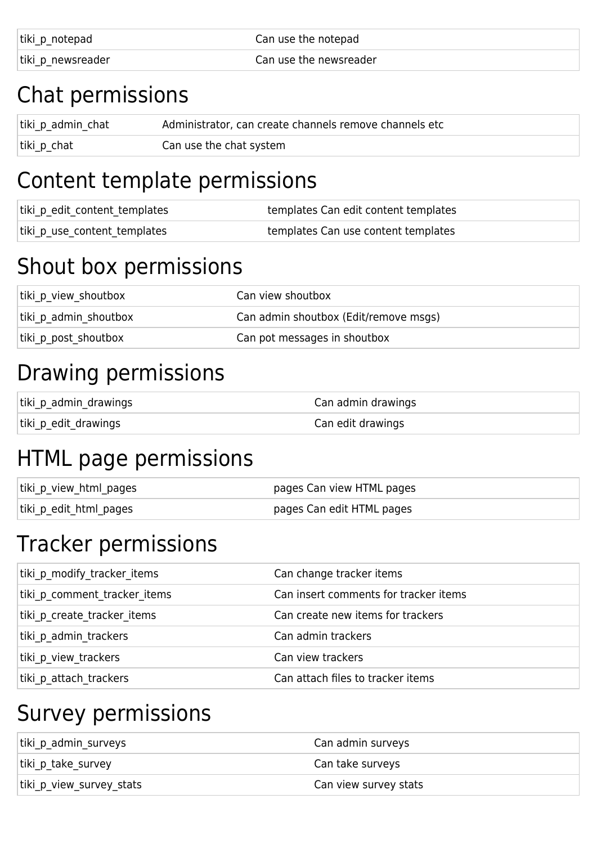| tiki_p_notepad    | Can use the notepad    |
|-------------------|------------------------|
| tiki p newsreader | Can use the newsreader |

#### Chat permissions

| tiki_p_admin_chat | Administrator, can create channels remove channels etc |
|-------------------|--------------------------------------------------------|
| tiki_p_chat       | Can use the chat system                                |

## Content template permissions

| tiki_p_edit_content_templates | templates Can edit content templates |
|-------------------------------|--------------------------------------|
| tiki_p_use_content_templates  | templates Can use content templates  |

## Shout box permissions

| tiki p view shoutbox  | Can view shoutbox                     |
|-----------------------|---------------------------------------|
| tiki p admin shoutbox | Can admin shoutbox (Edit/remove msgs) |
| tiki p post shoutbox  | Can pot messages in shoutbox          |

## Drawing permissions

| tiki_p_admin_drawings | Can admin drawings |
|-----------------------|--------------------|
| tiki_p_edit_drawings  | Can edit drawings  |

## HTML page permissions

| tiki_p_view_html_pages | pages Can view HTML pages |
|------------------------|---------------------------|
| tiki_p_edit_html_pages | pages Can edit HTML pages |

## Tracker permissions

| tiki p modify tracker items  | Can change tracker items              |
|------------------------------|---------------------------------------|
| tiki p comment tracker items | Can insert comments for tracker items |
| tiki p create tracker items  | Can create new items for trackers     |
| tiki p admin trackers        | Can admin trackers                    |
| tiki p view trackers         | Can view trackers                     |
| tiki p attach trackers       | Can attach files to tracker items     |

## Survey permissions

| tiki p admin surveys     | Can admin surveys     |
|--------------------------|-----------------------|
| tiki p take survey       | Can take surveys      |
| tiki p view survey stats | Can view survey stats |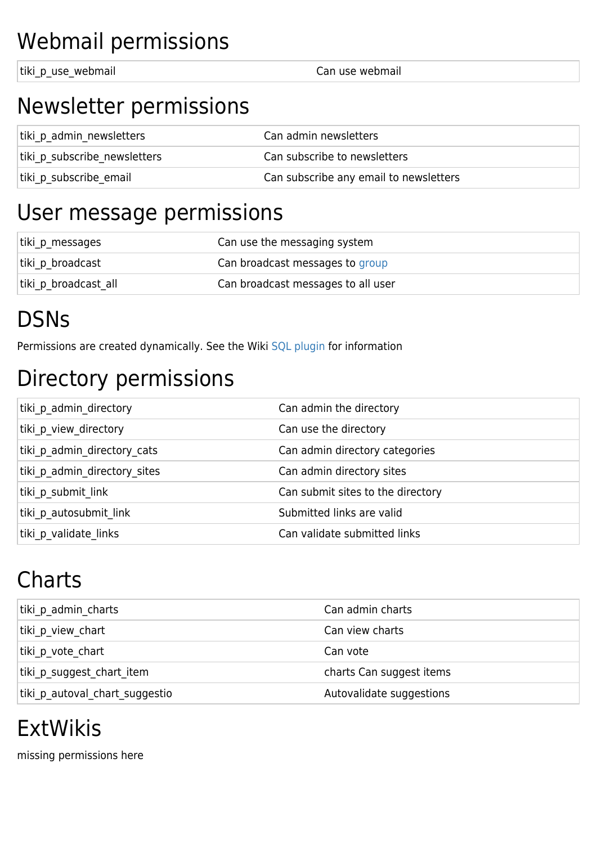## Webmail permissions

tiki p use webmail v a controller can use webmail

#### Newsletter permissions

| tiki p admin newsletters     | Can admin newsletters                  |
|------------------------------|----------------------------------------|
| tiki p subscribe newsletters | Can subscribe to newsletters           |
| tiki p subscribe email       | Can subscribe any email to newsletters |

#### User message permissions

| tiki p messages      | Can use the messaging system       |
|----------------------|------------------------------------|
| tiki p broadcast     | Can broadcast messages to group    |
| tiki p broadcast all | Can broadcast messages to all user |

## **DSNs**

Permissions are created dynamically. See the Wiki [SQL plugin](https://doc.tiki.org/PluginSQL) for information

## Directory permissions

| tiki p admin directory       | Can admin the directory           |
|------------------------------|-----------------------------------|
| tiki p view directory        | Can use the directory             |
| tiki p admin directory cats  | Can admin directory categories    |
| tiki p admin directory sites | Can admin directory sites         |
| tiki p submit link           | Can submit sites to the directory |
| tiki p autosubmit link       | Submitted links are valid         |
| tiki p validate links        | Can validate submitted links      |

## **Charts**

| tiki p admin charts            | Can admin charts         |
|--------------------------------|--------------------------|
| tiki p view chart              | Can view charts          |
| tiki p vote chart              | Can vote                 |
| tiki p suggest chart item      | charts Can suggest items |
| tiki p autoval chart suggestio | Autovalidate suggestions |
|                                |                          |

## ExtWikis

missing permissions here